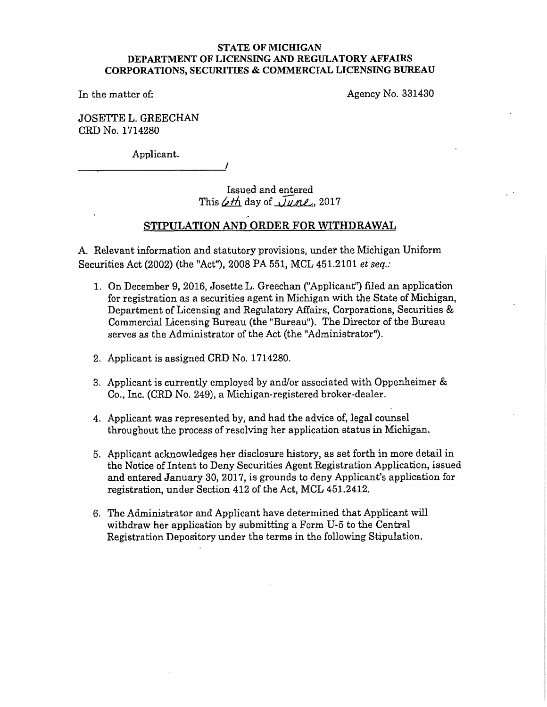### **STATE OF MICHIGAN DEFARTMENTOFLICENS.INGAND REGULATORY AFFAIRS CORPORATIONS, SECURITIES** & **COMMERCIAL LI.CENSING BUREAU**

In the matter of:

Agency No. 331430

JOSETTE L. GREECHAN CRD No. 1714280

Applicant. -------------'

> Issued and entered This  $\measuredangle t\measuredangle$  day of  $\sqrt{1}$ une, 2017

## **STIPULATION AND ORDER FOR WITHDRAWAL**

A. Relevant information and statutory provisions, under the Michigan Uniform Securities Act (2002) (the "Act''), 2008 PA 551, MCL 451.2101 *et seq.:* 

- 1. On December 9, 2016, Josette L. Greechan ("Applicant') filed an application for registration as a securities agent in Michigan with the State of Michigan, Department of Licensing and Regulatory Affairs, Corporations, Securities & Commercial Licensing Bureau (the "Bureau"). The Director of the Bureau serves as the Administrator of the Act (the "Administrator").
- 2. Applicant is assigned CRD No. 1714280.
- 3. Applicant is currently employed by and/or associated with Oppenheimer & *Co.,* Inc. (CRD No. 249), a Michigan-registered broker-dealer.
- 4. Applicant was represented by, and had the advice of, legal counsel throughout the process of resolving her application status in Michigan.
- 5. Applicant acknowledges her disclosure history, as set forth in more detail in the Notice of Intent to Deny Securities Agent Registration Application, issued and entered January 30, 2017, is grounds to deny Applicant's application for registration, under Section 412 of the Act, MCL 461.2412.
- 6. The Administrator and Applicant have determined that Applicant will withdraw her application by submitting a Form U-5 to the Central Registration Depository under the terms in the following Stipulation.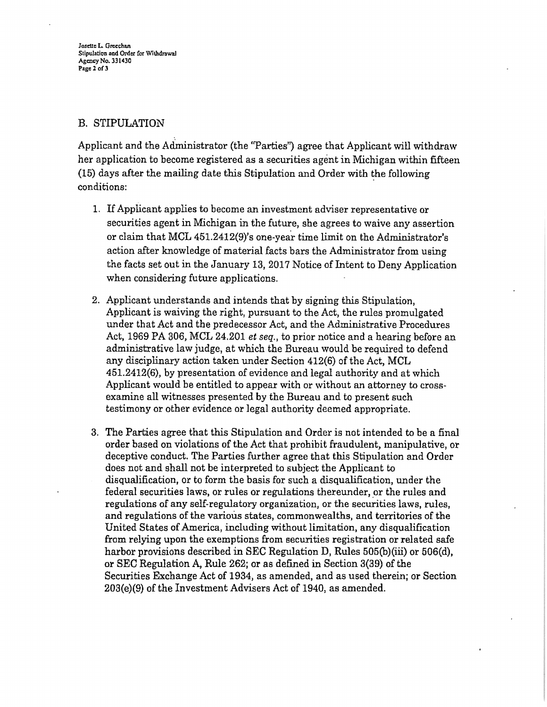Josette L. Greechan Stipulation and Order for Withdrawal **AgencyNo. 331430 Page 2 ofJ** 

# B. STIPULATION

Applicant and the Administrator (the "Parties") agree that Applicant will withdraw her application to become registered as a securities agent in Michigan within fifteen (15) days after the mailing date this Stipulation and Order with the following conditions:

- 1. If Applicant applies to become an investment adviser representative or securities agent in Michigan in the future, she agrees to waive any assertion or claim that MCL 451.2412(9)'s one-year time limit on the Administrator's action after knowledge of material facts bars the Administrator from using the facts set out in the January 13, 2017 Notice of Intent to Deny Application when considering future applications.
- 2. Applicant understands and intends that by signing this Stipulation, Applicant is waiving the right, pursuant to the Act, the rules promulgated under that Act and the predecessor Act, and the Administrative Procedures Act, 1969 PA 306, MCL 24.201 *et seq.,* to prior notice and a hearing before an administrative law judge, at which the Bureau would be required to defend any disciplinary action taken under Section 412(6) of the Act, MCL 451.2412(6), by presentation of evidence and legal authority and at which Applicant would be entitled to appear with or without an attorney to crossexamine all witnesses presented by the Bureau and to present such testimony or other evidence or legal authority deemed appropriate.
- 3. The Parties agree that this Stipulation and Order is not intended to be a final order based on violations of the Act that prohibit fraudulent, manipulative, or deceptive conduct. The Parties further agree that this Stipulation and Order does not and shall not be interpreted to subject the Applicant to disqualification, or to form the basis for such a disqualification, under the federal securities laws, or rules or regulations thereunder, or the rules and regulations of any self-regulatory organization, or the securities laws, rules, and regulations of the various states, commonwealths, and territories of the United States of America, including without limitation, any disqualification from relying upon the exemptions from securities registration or related safe harbor provisions described in SEC Regulation D, Rules 505(b)(iii) or 506(d), or SEC Regulation A, Rule 262; or as defined in Section 3(39) of the Securities Exchange Act of 1934, as amended, and as used therein; or Section 203(e)(9) of the Investment Advisers Act of 1940, as amended.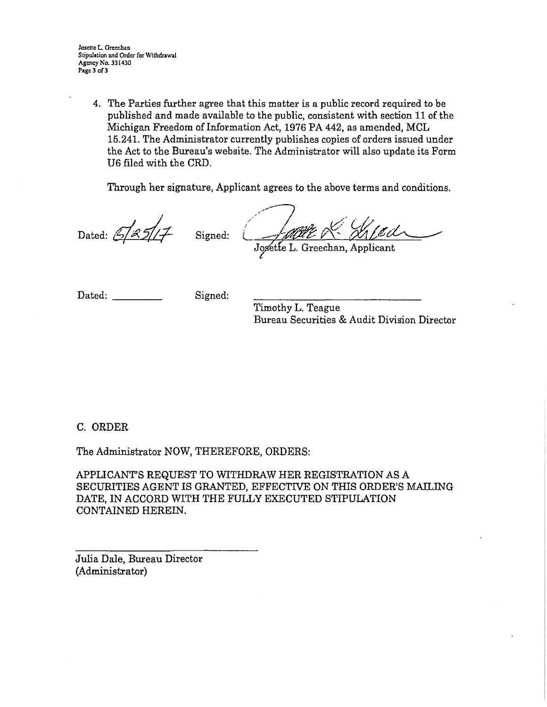Josette L Greechan Stipulation and Order for Withdrawal **Agency No.** 331430 **Page 3of 3**

> 4. The Parties further agree that this matter is a public record required to be published and made available to the public, consistent with section 11 of the Michigan Freedom of Information Act, 1976 PA 442, as amended, MCL 15.241. The Administrator currently publishes copies of orders issued under the Act to the Bureau's website. The Administrator will also update its Form U6 filed with tbe CRD.

Through her signature, Applicant agrees to the above terms and conditions.

Dated:  $\frac{5}{2}\frac{1}{2}$  Signed:

JAHER MEil

Dated: Signed:

Timothy L. Teague Bureau Securities & Audit Division Director

C. ORDER

The Administrator NOW, THEREFORE, ORDERS:

APPLICANT'S REQUEST TO WITHDRAW HER REGISTRATION AS A SECURITIES AGENT IS GRANTED, EFFECTIVE ON THIS ORDER'S MAILING DATE, IN ACCORD WITH THE FULLY EXECUTED STIPULATION CONTAINED HEREIN.

Julia Dale, Bureau Director (Administrator)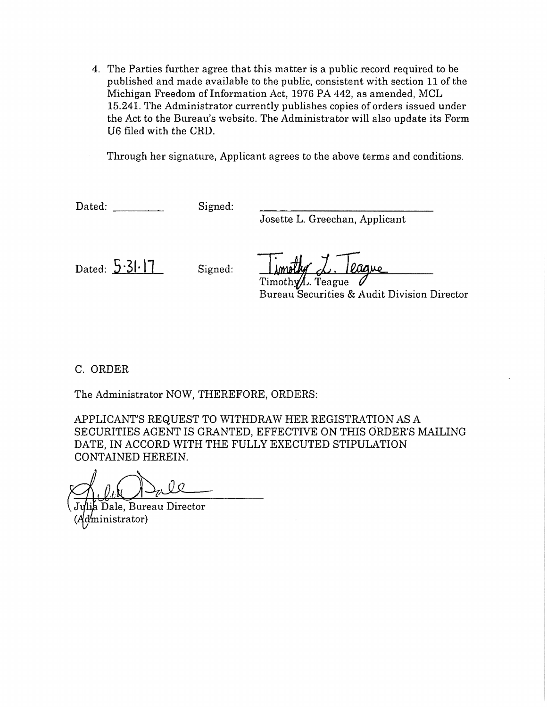4. The Parties further agree that this matter is a public record required to be published and made available to the public, consistent with section 11 of the Michigan Freedom of Information Act, 1976 PA 442, as amended, MCL 15.241. The Administrator currently publishes copies of orders issued under the Act to the Bureau's website. The Administrator will also update its Form U6 filed with the ORD.

Through her signature, Applicant agrees to the above terms and conditions.

Dated: Signed:

Josette L. Greechan, Applicant

Dated:  $5.31.17$  Signed:

Timothy/L. Teague

Bureau Securities & Audit Division Director

C. ORDER

The Administrator NOW, THEREFORE, ORDERS:

APPLICANT'S REQUEST TO WITHDRAW HER REGISTRATION AS A SECURITIES AGENT IS GRANTED, EFFECTIVE ON THIS ORDER'S MAILING DATE, IN ACCORD WITH THE FULLY EXECUTED STIPULATION CONTAINED HEREIN.

Dale, Bureau Director dministrator)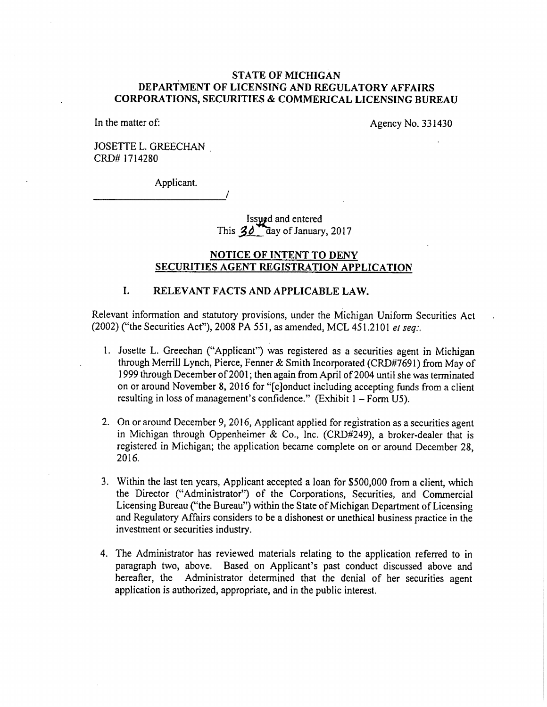### **ST ATE OF Ml CHIGAN DEPARTMENT OF LICENSING AND REGULATORY AFFAIRS CORPORA TIO NS, SECURITIES** & **COMMERICAL LICENSING BUREAU**

In the matter of:

Agency No. 331430

JOSETTE L. GREECHAN CRD# 1714280

-----------

Applicant.

Issued and entered This  $30$  day of January, 2017

### **NOTICE OF INTENT TO DENY SECURITIES AGENT REGISTRATION APPLICATION**

## **1. RELEVANT FACTS AND APPLICABLE LAW.**

*I* 

Relevant information and statutory provisions, under the Michigan Unifonn Securities Act (2002) ("the Securities Act"), 2008 PA 551, as amended, MCL 451.210 l *et seq:.* 

- I. Josette L. Greechan ("Applicant") was registered as a securities agent in Michigan through Merrill Lynch, Pierce, Fenner & Smith Incorporated (CRD#769 l) from May of 1999 through December of200 I; then again from April of 2004 until she was terminated on or around November 8, 2016 for "[c]onduct including accepting funds from a client resulting in loss of management's confidence." (Exhibit  $1 - Form$  U5).
- 2. On or around December 9, 2016, Applicant applied for registration as a securities agent in Michigan through Oppenheimer & Co., Inc. (CRD#249), a broker-dealer that is registered in Michigan; the application became complete on or around December 28, 2016.
- 3. Within the last ten years, Applicant accepted a loan for \$500,000 from a client, which the Director ("Administrator") of the Corporations, Securities, and Commercial Licensing Bureau ("the Bureau") within the State of Michigan Department of Licensing and Regulatory Affairs considers to be a dishonest or unethical business practice in the investment or securities industry.
- 4. The Administrator has reviewed materials relating to the application referred to in paragraph two, above. Based. on Applicant's past conduct discussed above and hereafter, the Administrator determined that the denial of her securities agent application is authorized, appropriate, and in the public interest.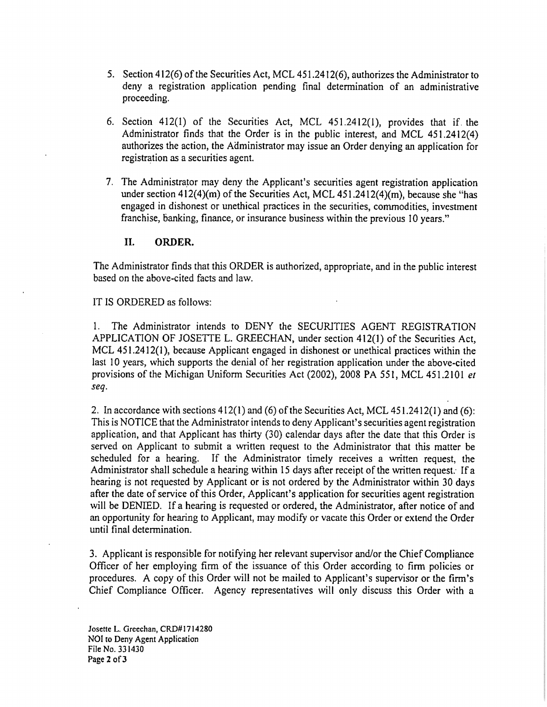- *5.* Section 412(6) of the Securities Act, MCL 451.2412(6), authorizes the Administrator to deny a registration application pending final detennination of an administrative proceeding.
- 6. Section 412(1) of the Securities Act, MCL 451.2412(1), provides that if. the Administrator finds that the Order is in the public interest, and MCL 451.2412(4) authorizes the action, the Administrator may issue an Order denying an application for registration as a securities agent.
- 7. The Administrator may deny the Applicant's securities agent registration application under section  $412(4)(m)$  of the Securities Act, MCL  $451.2412(4)(m)$ , because she "has engaged in dishonest or unethical practices in the securities, commodities, investment franchise, banking, finance, or insurance business within the previous 10 years."

### II. **ORDER.**

The Administrator finds that this ORDER is authorized, appropriate, and in the public interest based on the above-cited facts and law.

#### IT IS ORDERED as follows:

1. The Administrator intends to DENY the SECURITIES AGENT REGISTRATION APPLICATION OF JOSETTE L. GREECHAN, under section 412(1) of the Securities Act, MCL 451.2412(1), because Applicant engaged in dishonest or unethical practices within the last IO years, which supports the denial of her registration application under the above-cited provisions of the Michigan Uniform Securities Act (2002), 2008 PA 55 I, MCL 451.210 I *et seq.* 

2. In accordance with sections 412(1) and (6) of the Securities Act, MCL 451.2412(1) and (6): This is NOTICE that the Administrator intends to deny Applicant's securities agent registration application, and that Applicant has thirty (30) calendar days after the date that this Order is served on Applicant to submit a written request to the Administrator that this matter be scheduled for a hearing. If the Administrator timely receives a written request, the Administrator shall schedule a hearing within 15 days after receipt of the written request: If <sup>a</sup> hearing is not requested by Applicant or is not ordered by the Administrator within 30 days after the date of service of this Order, Applicant's application for securities agent registration will be DENIED. If a hearing is requested or ordered, the Administrator, after notice of and an opportunity for hearing to Applicant, may modify or vacate this Order or extend the Order until final determination.

3. Applicant is responsible for notifying her relevant supervisor and/or the Chief Compliance Officer of her employing finn of the issuance of this Order according to firm policies or procedures. A copy of this Order will not be mailed to Applicant's supervisor or the firm's Chief Compliance Officer. Agency representatives will only discuss this Order with <sup>a</sup>

Josette L. Greechan, CRD#l714280 NOi to Deny Agent Application File No. 331430 Page 2 of 3